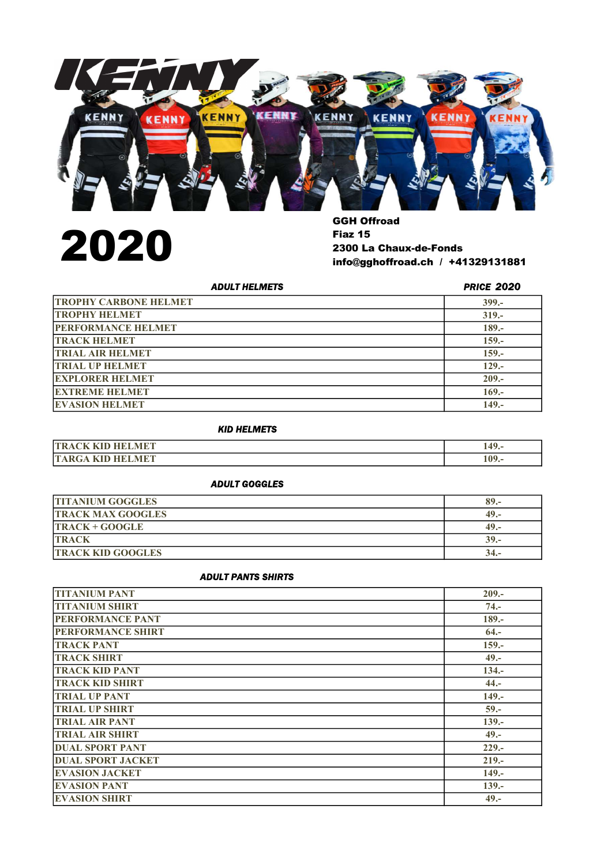

2020

Fiaz 15 2300 La Chaux-de-Fonds info@gghoffroad.ch / +41329131881

| <b>ADULT HELMETS</b>         | <b>PRICE 2020</b> |
|------------------------------|-------------------|
| <b>TROPHY CARBONE HELMET</b> | $399 -$           |
| <b>TROPHY HELMET</b>         | $319 -$           |
| <b>PERFORMANCE HELMET</b>    | $189 -$           |
| <b>TRACK HELMET</b>          | $159. -$          |
| <b>TRIAL AIR HELMET</b>      | $159 -$           |
| <b>TRIAL UP HELMET</b>       | $129 -$           |
| <b>EXPLORER HELMET</b>       | $209 -$           |
| <b>EXTREME HELMET</b>        | $169. -$          |
| <b>EVASION HELMET</b>        | $149. -$          |

## KID HELMETS

| <b>T 3 FROM</b>         | 40    |
|-------------------------|-------|
| ЧΕ.                     | スキフィー |
| <b>MET</b><br>$ \Delta$ | 109.- |

## ADULT GOGGLES

| <b>TITANIUM GOGGLES</b>  | $89. -$ |
|--------------------------|---------|
| <b>TRACK MAX GOOGLES</b> | $49. -$ |
| TRACK + GOOGLE           | 49.-    |
| <b>TRACK</b>             | $39. -$ |
| <b>TRACK KID GOOGLES</b> | 34.-    |

#### ADULT PANTS SHIRTS

| <b>TITANIUM PANT</b>     | $209 -$  |
|--------------------------|----------|
| <b>TITANIUM SHIRT</b>    | $74. -$  |
| PERFORMANCE PANT         | $189 -$  |
| <b>PERFORMANCE SHIRT</b> | $64. -$  |
| <b>TRACK PANT</b>        | $159. -$ |
| <b>TRACK SHIRT</b>       | $49. -$  |
| <b>TRACK KID PANT</b>    | $134. -$ |
| <b>TRACK KID SHIRT</b>   | $44. -$  |
| <b>TRIAL UP PANT</b>     | $149. -$ |
| <b>TRIAL UP SHIRT</b>    | $59. -$  |
| <b>TRIAL AIR PANT</b>    | $139 -$  |
| <b>TRIAL AIR SHIRT</b>   | $49. -$  |
| <b>DUAL SPORT PANT</b>   | $229. -$ |
| <b>DUAL SPORT JACKET</b> | $219 -$  |
| <b>EVASION JACKET</b>    | $149. -$ |
| <b>EVASION PANT</b>      | $139. -$ |
| <b>EVASION SHIRT</b>     | $49. -$  |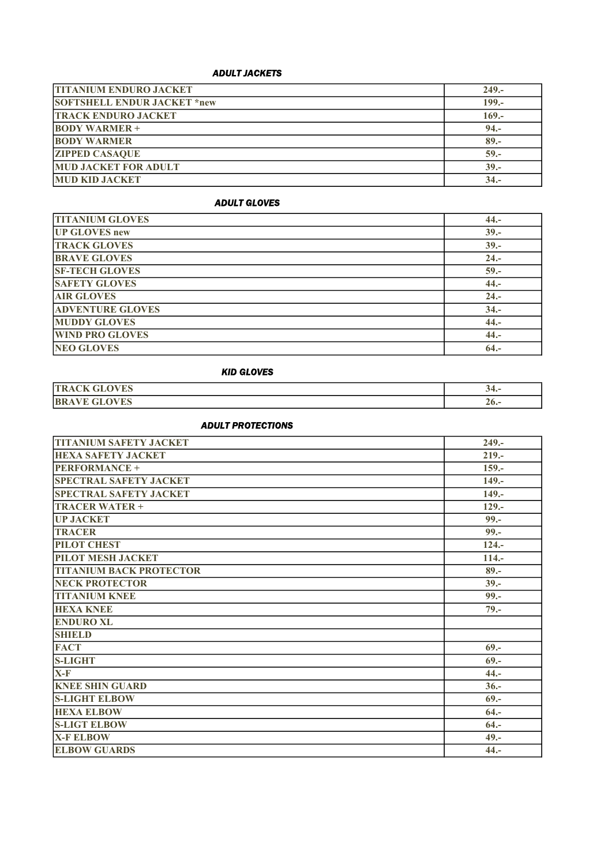## ADULT JACKETS

| <b>TITANIUM ENDURO JACKET</b>      | $249. -$ |
|------------------------------------|----------|
| <b>SOFTSHELL ENDUR JACKET *new</b> | $199. -$ |
| <b>TRACK ENDURO JACKET</b>         | $169. -$ |
| <b>BODY WARMER +</b>               | $94. -$  |
| <b>BODY WARMER</b>                 | $89 -$   |
| <b>ZIPPED CASAQUE</b>              | $59 -$   |
| <b>MUD JACKET FOR ADULT</b>        | $39 -$   |
| <b>MUD KID JACKET</b>              | $34. -$  |

### ADULT GLOVES

| <b>TITANIUM GLOVES</b>  | $44. -$ |
|-------------------------|---------|
| <b>UP GLOVES new</b>    | $39. -$ |
| <b>TRACK GLOVES</b>     | $39 -$  |
| <b>BRAVE GLOVES</b>     | $24. -$ |
| <b>SF-TECH GLOVES</b>   | $59 -$  |
| <b>SAFETY GLOVES</b>    | $44. -$ |
| <b>AIR GLOVES</b>       | $24. -$ |
| <b>ADVENTURE GLOVES</b> | $34. -$ |
| <b>MUDDY GLOVES</b>     | $44. -$ |
| <b>WIND PRO GLOVES</b>  | $44. -$ |
| <b>NEO GLOVES</b>       | $64. -$ |

## KID GLOVES

| <b>OVES</b><br><b>TR</b><br>ا ت<br>Ж.    | -34.-  |
|------------------------------------------|--------|
| <b>OVES</b><br><b>IRR</b><br>.<br>-<br>ີ | $20 -$ |

### ADULT PROTECTIONS

| <b>TITANIUM SAFETY JACKET</b>  | $249. -$ |
|--------------------------------|----------|
| <b>HEXA SAFETY JACKET</b>      | $219. -$ |
| <b>PERFORMANCE +</b>           | $159. -$ |
| <b>SPECTRAL SAFETY JACKET</b>  | $149. -$ |
| <b>SPECTRAL SAFETY JACKET</b>  | $149. -$ |
| <b>TRACER WATER +</b>          | $129. -$ |
| <b>UP JACKET</b>               | $99. -$  |
| <b>TRACER</b>                  | $99 -$   |
| <b>PILOT CHEST</b>             | $124 -$  |
| PILOT MESH JACKET              | $114. -$ |
| <b>TITANIUM BACK PROTECTOR</b> | $89 -$   |
| <b>NECK PROTECTOR</b>          | $39 -$   |
| <b>TITANIUM KNEE</b>           | $99 -$   |
| <b>HEXA KNEE</b>               | $79. -$  |
| <b>ENDURO XL</b>               |          |
| <b>SHIELD</b>                  |          |
| <b>FACT</b>                    | $69. -$  |
| <b>S-LIGHT</b>                 | $69. -$  |
| $X-F$                          | $44. -$  |
| <b>KNEE SHIN GUARD</b>         | $36 -$   |
| <b>S-LIGHT ELBOW</b>           | $69. -$  |
| <b>HEXA ELBOW</b>              | $64. -$  |
| <b>S-LIGT ELBOW</b>            | $64. -$  |
| <b>X-F ELBOW</b>               | $49. -$  |
| <b>ELBOW GUARDS</b>            | $44. -$  |